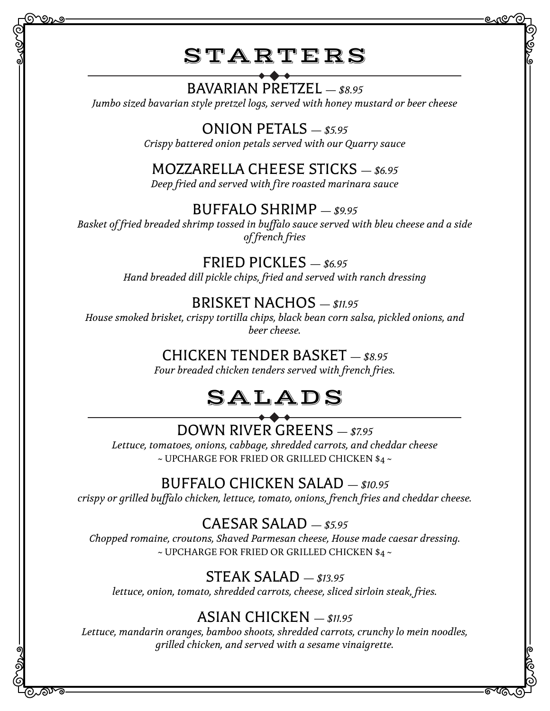STARTERS

### BAVARIAN PRETZEL *— \$8.95*

*Jumbo sized bavarian style pretzel logs, served with honey mustard or beer cheese*

### ONION PETALS *— \$5.95*

*Crispy battered onion petals served with our Quarry sauce*

### MOZZARELLA CHEESE STICKS *— \$6.95*

*Deep fried and served with fire roasted marinara sauce*

### BUFFALO SHRIMP *— \$9.95*

*Basket of fried breaded shrimp tossed in buffalo sauce served with bleu cheese and a side of french fries*

### FRIED PICKLES *— \$6.95*

*Hand breaded dill pickle chips, fried and served with ranch dressing*

### BRISKET NACHOS *— \$11.95*

*House smoked brisket, crispy tortilla chips, black bean corn salsa, pickled onions, and beer cheese.*

#### CHICKEN TENDER BASKET *— \$8.95*

*Four breaded chicken tenders served with french fries.*

# SALADS

### DOWN RIVER GREENS *— \$7.95*

*Lettuce, tomatoes, onions, cabbage, shredded carrots, and cheddar cheese* ~ UPCHARGE FOR FRIED OR GRILLED CHICKEN \$4 ~

### BUFFALO CHICKEN SALAD *— \$10.95*

*crispy or grilled buffalo chicken, lettuce, tomato, onions, french fries and cheddar cheese.*

### CAESAR SALAD *— \$5.95*

*Chopped romaine, croutons, Shaved Parmesan cheese, House made caesar dressing.*  $\sim$  UPCHARGE FOR FRIED OR GRILLED CHICKEN \$4  $\sim$ 

### STEAK SALAD *— \$13.95*

*lettuce, onion, tomato, shredded carrots, cheese, sliced sirloin steak, fries.*

### ASIAN CHICKEN *— \$11.95*

*Lettuce, mandarin oranges, bamboo shoots, shredded carrots, crunchy lo mein noodles, grilled chicken, and served with a sesame vinaigrette.*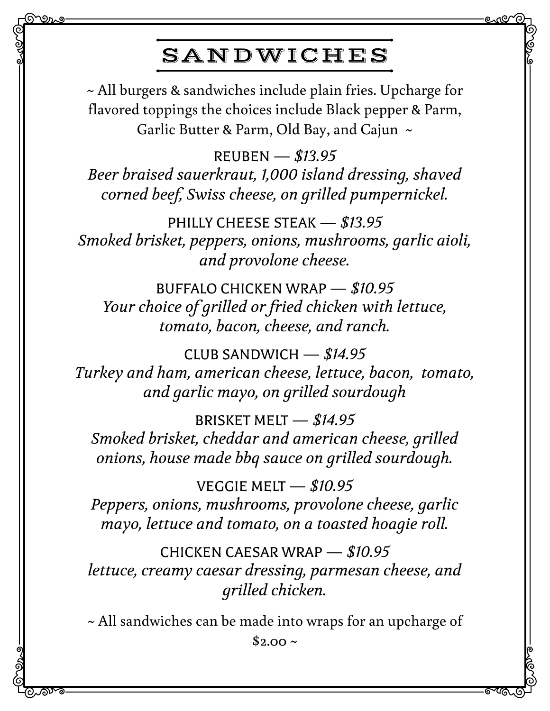## SANDWICHES

<u> ಖಾತಿ</u>

಄ಗ್

~ All burgers & sandwiches include plain fries. Upcharge for flavored toppings the choices include Black pepper & Parm, Garlic Butter & Parm, Old Bay, and Cajun ~

REUBEN *— \$13.95 Beer braised sauerkraut, 1,000 island dressing, shaved corned beef, Swiss cheese, on grilled pumpernickel.*

PHILLY CHEESE STEAK *— \$13.95 Smoked brisket, peppers, onions, mushrooms, garlic aioli, and provolone cheese.*

BUFFALO CHICKEN WRAP *— \$10.95 Your choice of grilled or fried chicken with lettuce, tomato, bacon, cheese, and ranch.*

CLUB SANDWICH *— \$14.95 Turkey and ham, american cheese, lettuce, bacon, tomato, and garlic mayo, on grilled sourdough*

BRISKET MELT *— \$14.95 Smoked brisket, cheddar and american cheese, grilled onions, house made bbq sauce on grilled sourdough.*

VEGGIE MELT *— \$10.95 Peppers, onions, mushrooms, provolone cheese, garlic mayo, lettuce and tomato, on a toasted hoagie roll.*

CHICKEN CAESAR WRAP *— \$10.95 lettuce, creamy caesar dressing, parmesan cheese, and grilled chicken.*

~ All sandwiches can be made into wraps for an upcharge of  $$2.00 \sim$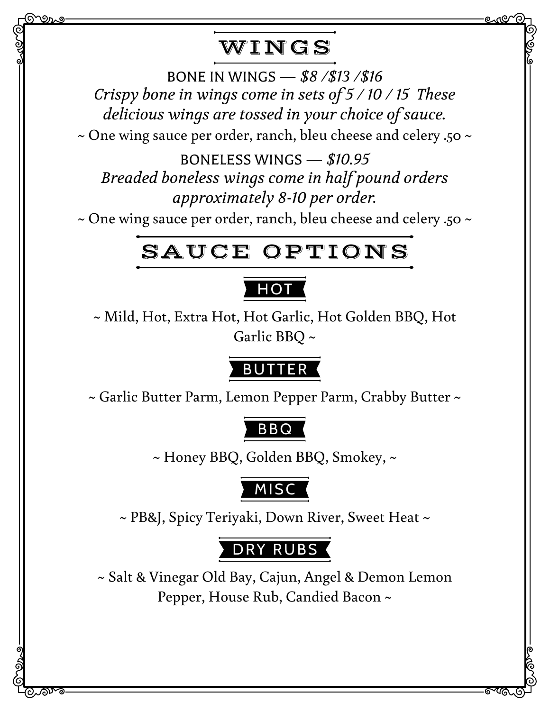## WINGS

ಲಗಲ

಄ಗ್

BONE IN WINGS *— \$8 /\$13 /\$16 Crispy bone in wings come in sets of 5 / 10 / 15 These delicious wings are tossed in your choice of sauce.* ~ One wing sauce per order, ranch, bleu cheese and celery .50 ~

BONELESS WINGS *— \$10.95 Breaded boneless wings come in half pound orders approximately 8-10 per order.*

~ One wing sauce per order, ranch, bleu cheese and celery .50 ~

## SAUCE OPTIONS

### **HOT**

~ Mild, Hot, Extra Hot, Hot Garlic, Hot Golden BBQ, Hot Garlic BBQ ~

### BUTTER

~ Garlic Butter Parm, Lemon Pepper Parm, Crabby Butter ~

## BBQ

~ Honey BBQ, Golden BBQ, Smokey, ~

## MISC

~ PB&J, Spicy Teriyaki, Down River, Sweet Heat ~

## DRY RUBS

~ Salt & Vinegar Old Bay, Cajun, Angel & Demon Lemon Pepper, House Rub, Candied Bacon ~